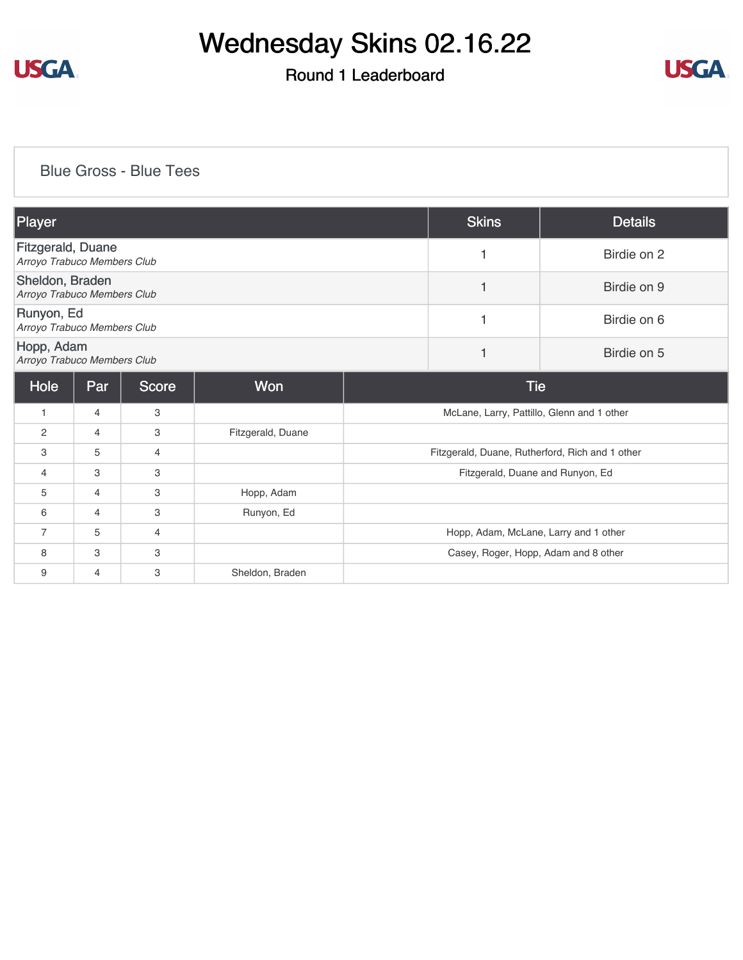

## Round 1 Leaderboard



### [Blue Gross - Blue Tees](https://cdn2.golfgenius.com/v2tournaments/8222004068386627747?called_from=&round_index=1)

| Player                                                  |     |              |                   | <b>Skins</b>                                    | <b>Details</b> |
|---------------------------------------------------------|-----|--------------|-------------------|-------------------------------------------------|----------------|
| <b>Fitzgerald, Duane</b><br>Arroyo Trabuco Members Club |     |              |                   | 1                                               | Birdie on 2    |
| Sheldon, Braden<br>Arroyo Trabuco Members Club          |     |              |                   | 1                                               | Birdie on 9    |
| Runyon, Ed<br>Arroyo Trabuco Members Club               |     |              |                   | 1                                               | Birdie on 6    |
| Hopp, Adam<br>Arroyo Trabuco Members Club               |     |              |                   | $\mathbf{1}$                                    | Birdie on 5    |
| Hole                                                    | Par | <b>Score</b> | Won               | <b>Tie</b>                                      |                |
| 1                                                       | 4   | 3            |                   | McLane, Larry, Pattillo, Glenn and 1 other      |                |
| 2                                                       | 4   | 3            | Fitzgerald, Duane |                                                 |                |
| 3                                                       | 5   | 4            |                   | Fitzgerald, Duane, Rutherford, Rich and 1 other |                |
| 4                                                       | 3   | 3            |                   | Fitzgerald, Duane and Runyon, Ed                |                |
| 5                                                       | 4   | 3            | Hopp, Adam        |                                                 |                |
| 6                                                       | 4   | 3            | Runyon, Ed        |                                                 |                |
| 7                                                       | 5   | 4            |                   | Hopp, Adam, McLane, Larry and 1 other           |                |
| 8                                                       | 3   | 3            |                   | Casey, Roger, Hopp, Adam and 8 other            |                |
| 9                                                       | 4   | 3            | Sheldon, Braden   |                                                 |                |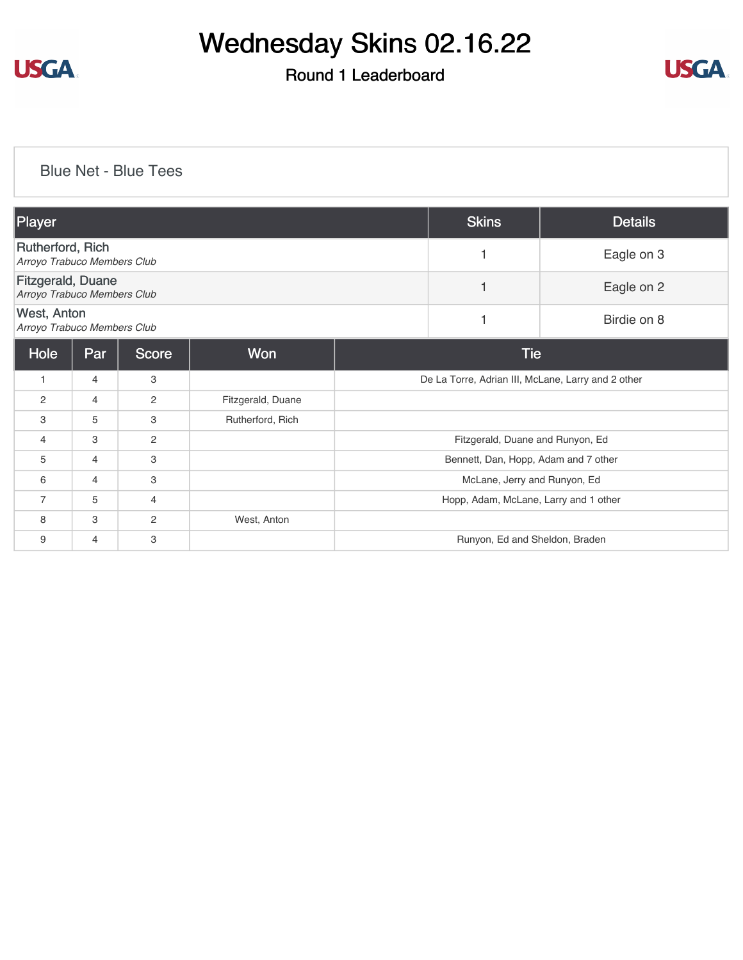

## Round 1 Leaderboard



### [Blue Net - Blue Tees](https://cdn2.golfgenius.com/v2tournaments/8222858897942143148?called_from=&round_index=1)

| Player                                                  |     |                |                   | <b>Skins</b>                                       | Details     |
|---------------------------------------------------------|-----|----------------|-------------------|----------------------------------------------------|-------------|
| Rutherford, Rich<br>Arroyo Trabuco Members Club         |     |                |                   | 1                                                  | Eagle on 3  |
| <b>Fitzgerald, Duane</b><br>Arroyo Trabuco Members Club |     |                |                   | 1                                                  | Eagle on 2  |
| <b>West, Anton</b><br>Arroyo Trabuco Members Club       |     |                |                   | 1                                                  | Birdie on 8 |
| Hole                                                    | Par | <b>Score</b>   | Won               | <b>Tie</b>                                         |             |
| $\mathbf{1}$                                            | 4   | 3              |                   | De La Torre, Adrian III, McLane, Larry and 2 other |             |
| 2                                                       | 4   | $\overline{2}$ | Fitzgerald, Duane |                                                    |             |
| 3                                                       | 5   | 3              | Rutherford, Rich  |                                                    |             |
| 4                                                       | 3   | $\overline{2}$ |                   | Fitzgerald, Duane and Runyon, Ed                   |             |
| 5                                                       | 4   | 3              |                   | Bennett, Dan, Hopp, Adam and 7 other               |             |
| 6                                                       | 4   | 3              |                   | McLane, Jerry and Runyon, Ed                       |             |
| $\overline{7}$                                          | 5   | $\overline{4}$ |                   | Hopp, Adam, McLane, Larry and 1 other              |             |
| 8                                                       | 3   | $\overline{2}$ | West, Anton       |                                                    |             |
| 9                                                       | 4   | 3              |                   | Runyon, Ed and Sheldon, Braden                     |             |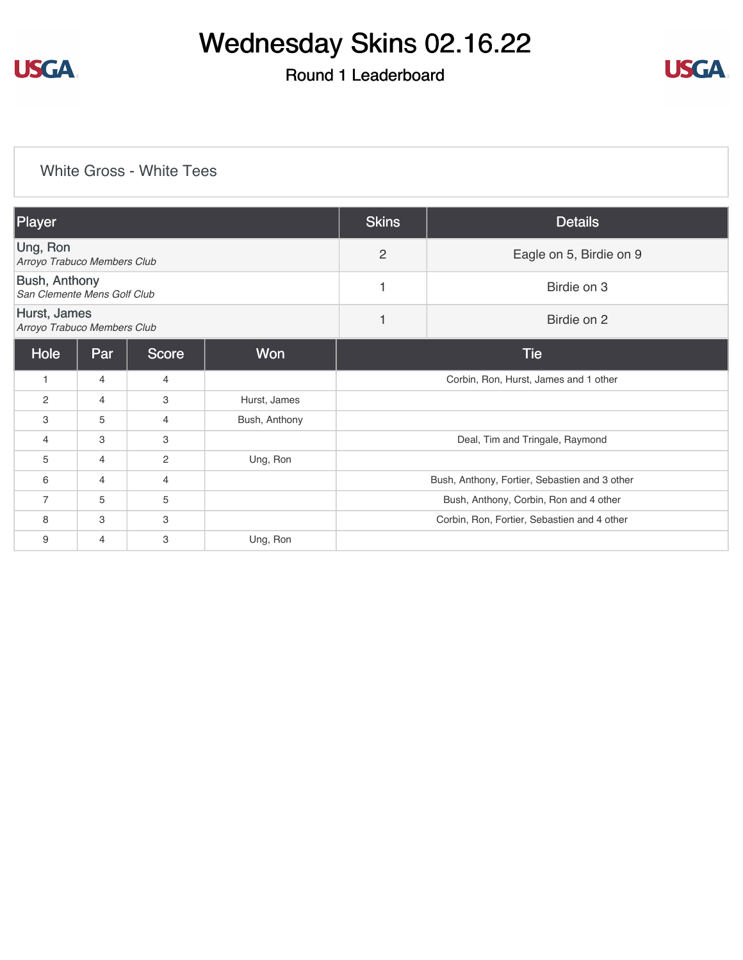

## Round 1 Leaderboard



### [White Gross - White Tees](https://cdn2.golfgenius.com/v2tournaments/8222011264637886629?called_from=&round_index=1)

| Player                                              |                |                |               | <b>Skins</b>                              | <b>Details</b>                                |  |
|-----------------------------------------------------|----------------|----------------|---------------|-------------------------------------------|-----------------------------------------------|--|
| Ung, Ron<br>Arroyo Trabuco Members Club             |                |                |               | $\overline{2}$<br>Eagle on 5, Birdie on 9 |                                               |  |
| <b>Bush, Anthony</b><br>San Clemente Mens Golf Club |                |                |               | 1                                         | Birdie on 3                                   |  |
| Hurst, James<br>Arroyo Trabuco Members Club         |                |                |               | 1                                         | Birdie on 2                                   |  |
| Hole                                                | Par            | <b>Score</b>   | Won           |                                           | <b>Tie</b>                                    |  |
| 1                                                   | 4              | 4              |               |                                           | Corbin, Ron, Hurst, James and 1 other         |  |
| $\overline{c}$                                      | 4              | 3              | Hurst, James  |                                           |                                               |  |
| 3                                                   | 5              | 4              | Bush, Anthony |                                           |                                               |  |
| $\overline{4}$                                      | 3              | 3              |               |                                           | Deal, Tim and Tringale, Raymond               |  |
| 5                                                   | $\overline{4}$ | $\overline{c}$ | Ung, Ron      |                                           |                                               |  |
| 6                                                   | 4              | 4              |               |                                           | Bush, Anthony, Fortier, Sebastien and 3 other |  |
| $\overline{7}$                                      | 5              | 5              |               |                                           | Bush, Anthony, Corbin, Ron and 4 other        |  |
| 8                                                   | 3              | 3              |               |                                           | Corbin, Ron, Fortier, Sebastien and 4 other   |  |
| 9                                                   | 4              | 3              | Ung, Ron      |                                           |                                               |  |